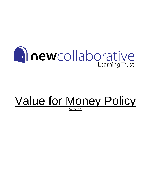

# Value for Money Policy

Version 1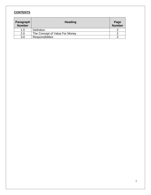# **CONTENTS**

| Paragraph<br><b>Number</b> | <b>Heading</b>                 | Page<br><b>Number</b> |
|----------------------------|--------------------------------|-----------------------|
| 1.0                        | <b>Definition</b>              |                       |
| 2.0                        | The Concept of Value For Money |                       |
| 3.0                        | <b>Responsibilities</b>        |                       |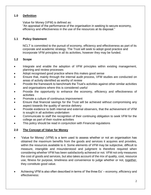## **1.0 Definition**

Value for Money (VFM) is defined as:

"An appraisal of the performance of the organisation in seeking to secure economy, efficiency and effectiveness in the use of the resources at its disposal."

## **1.1 Policy Statement**

NCLT is committed to the pursuit of economy, efficiency and effectiveness as part of its corporate and academic strategy. The Trust will seek to adopt good practice and incorporate VFM principles in all its activities, however they may be funded.

# **1.2 Scope**

- Integrate and enable the adoption of VFM principles within existing management, planning and review processes
- Adopt recognised good practice where this makes good sense
- Ensure that, mainly through the internal audit process, VFM studies are conducted on areas of activity identified as worthy of review
- Provide the framework to benchmark the Trust's activities against other similar activities and organisations where this is considered useful
- Provide the opportunity to enhance the economy, efficiency and effectiveness of activities
- Promote a culture of continuous improvement
- Ensure that financial savings for the Trust will be achieved without compromising any aspect towards the quality of service delivery
- Provide evidence to both internal and external observers, that the achievement of VFM is sought in all activities undertaken
- Communicate to staff the recognition of their continuing obligation to seek VFM for the college as part of their routine activities
- This policy should be read in conjunction with Financial regulations

# **2.0 The Concept of Value for Money**

- 'Value for Money' (VFM) is a term used to assess whether or not an organisation has obtained the maximum benefits from the goods and services it acquires and provides, within the resources available to it. Some elements of VFM may be subjective, difficult to measure, intangible and misunderstood and judgment is therefore required when considering whether VFM has been satisfactorily achieved or not. VFM not only measures the cost of goods and services, but also takes account of the mix of quality, cost, resource use, fitness for purpose, timeliness and convenience to judge whether or not, together, they constitute good value.
- Achieving VFM is also often described in terms of 'the three Es' economy, efficiency and effectiveness: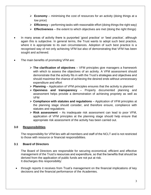- ➢ **Economy** minimising the cost of resources for an activity (doing things at a low price)
- ➢ **Efficiency** performing tasks with reasonable effort (doing things the right way)
- $\triangleright$  **Effectiveness** the extent to which objectives are met (doing the right things)
- In many areas of activity there is purported 'good practice' or 'best practice', although again this is subjective. In general terms, the Trust wants to adopt such best practice, where it is appropriate to its own circumstances. Adoption of such best practice is a recognised way of not only achieving VFM but also of demonstrating that VFM has been sought and achieved.
- The main benefits of promoting VFM are:
	- ➢ **The clarification of objectives** VFM principles give managers a framework with which to assess the objectives of an activity. A VFM assessment should demonstrate that the activity fits in with the Trust's strategies and objectives and should maximise the chance of achieving the desired ends without unnecessary expenditure and effort
	- ➢ **Planning** Application of VFM principles ensures that the activity is planned
	- ➢ **Openness and transparency** Properly documented planning and assessment helps provide a demonstration of achieving propriety as well as VFM
	- ➢ **Compliance with statutes and regulations** Application of VFM principles at the planning stage should consider, and therefore ensure, compliance with statutes and regulations
	- ➢ **Risk assessment** As inadequate risk assessment can lead to poor VFM, application of VFM principles at the planning stage should help ensure that appropriate risk assessment of the activity has been carried out.

#### **3.0 Responsibilities**

The responsibility for VFM lies with all members and staff of the NCLT and is not restricted to those with resource or financial responsibilities.

#### **3.1 Board of Directors**

The Board of Directors are responsible for securing economical, efficient and effective management of the Trust's resources and expenditure, so that the benefits that should be derived from the application of public funds are not put at risk. It discharges this responsibility:

• through reports it receives from Trust's management on the financial implications of key decisions and the financial performance of the Academies.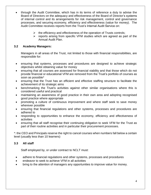- through the Audit Committee, which has in its terms of reference a duty to advise the Board of Directors on the adequacy and effectiveness of the Board of Director's systems of internal control and its arrangements for risk management, control and governance processes, and securing economy, efficiency and effectiveness (value for money). The Audit Committee receives reports from the Trust's Internal Audit Service on:
	- $\triangleright$  the efficiency and effectiveness of the operation of Trusts controls;
	- ➢ reports arising from specific VFM studies which are agreed as part of the Annual Audit Plan.

## **3.2 Academy Managers:**

Managers in all areas of the Trust, not limited to those with financial responsibilities, are responsible for:

- ensuring that systems, processes and procedures are designed to achieve strategic objectives whilst obtaining value for money
- ensuring that all courses are assessed for financial viability and that those which do not provide financial or educational VFM are removed from the Trust's portfolio of courses as soon as possible\*
- ensuring that the Trust has an efficient and effective staffing structure to facilitate the achievement of its strategic aims
- benchmarking the Trust's activities against other similar organisations where this is considered useful and practical
- maintaining an awareness of good practice in their own area and adopting recognised good practice where appropriate
- promoting a culture of continuous improvement and where staff seek to save money wherever possible
- ensuring that financial regulations and other systems, processes and procedures are adhered to
- responding to opportunities to enhance the economy, efficiency and effectiveness of activities
- ensuring that all staff recognise their continuing obligation to seek VFM for the Trust as part of their routine activities and in particular their procurement processes.

\*: the CEO and Principals reserve the right to cancel courses when numbers fall below a certain level (usually less than 10 learners)

# **3.3 All staff**

Staff employed by, or under contract to NCLT must:

- adhere to financial regulations and other systems, processes and procedures
- endeavor to seek to achieve VFM in all activities
- bring to the attention of managers any opportunities to improve value for money.